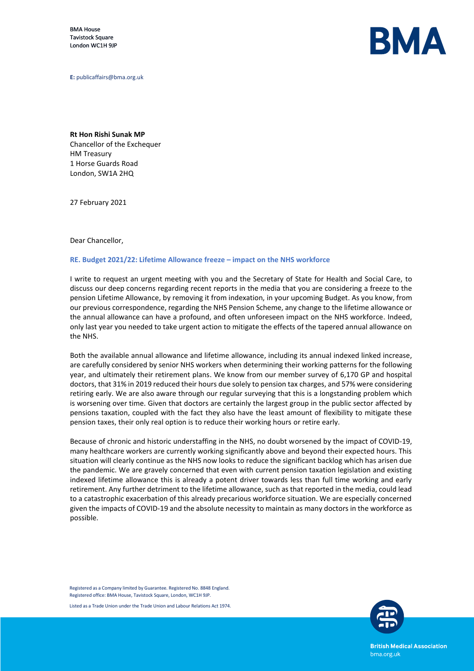BMA House Tavistock Square London WC1H 9JP



**E:** publicaffairs@bma.org.uk

**Rt Hon Rishi Sunak MP** Chancellor of the Exchequer HM Treasury 1 Horse Guards Road London, SW1A 2HQ

27 February 2021

## Dear Chancellor,

## **RE. Budget 2021/22: Lifetime Allowance freeze – impact on the NHS workforce**

I write to request an urgent meeting with you and the Secretary of State for Health and Social Care, to discuss our deep concerns regarding recent reports in the media that you are considering a freeze to the pension Lifetime Allowance, by removing it from indexation, in your upcoming Budget. As you know, from our previous correspondence, regarding the NHS Pension Scheme, any change to the lifetime allowance or the annual allowance can have a profound, and often unforeseen impact on the NHS workforce. Indeed, only last year you needed to take urgent action to mitigate the effects of the tapered annual allowance on the NHS.

Both the available annual allowance and lifetime allowance, including its annual indexed linked increase, are carefully considered by senior NHS workers when determining their working patterns for the following year, and ultimately their retirement plans. We know from our member survey of 6,170 GP and hospital doctors, that 31% in 2019 reduced their hours due solely to pension tax charges, and 57% were considering retiring early. We are also aware through our regular surveying that this is a longstanding problem which is worsening over time. Given that doctors are certainly the largest group in the public sector affected by pensions taxation, coupled with the fact they also have the least amount of flexibility to mitigate these pension taxes, their only real option is to reduce their working hours or retire early.

Because of chronic and historic understaffing in the NHS, no doubt worsened by the impact of COVID-19, many healthcare workers are currently working significantly above and beyond their expected hours. This situation will clearly continue as the NHS now looks to reduce the significant backlog which has arisen due the pandemic. We are gravely concerned that even with current pension taxation legislation and existing indexed lifetime allowance this is already a potent driver towards less than full time working and early retirement. Any further detriment to the lifetime allowance, such as that reported in the media, could lead to a catastrophic exacerbation of this already precarious workforce situation. We are especially concerned given the impacts of COVID-19 and the absolute necessity to maintain as many doctors in the workforce as possible.

Registered as a Company limited by Guarantee. Registered No. 8848 England. Registered office: BMA House, Tavistock Square, London, WC1H 9JP.

Listed as a Trade Union under the Trade Union and Labour Relations Act 1974.



**British Medical Association** bma.org.uk